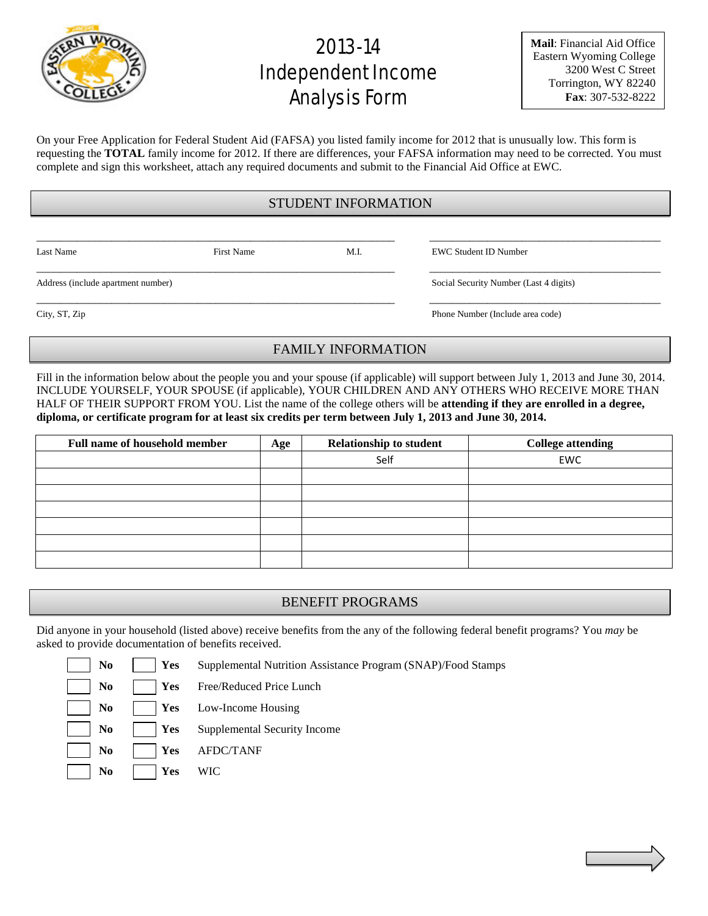

# 2013-14 Independent Income Analysis Form

**Mail**: Financial Aid Office Eastern Wyoming College 3200 West C Street Torrington, WY 82240 **Fax**: 307-532-8222

On your Free Application for Federal Student Aid (FAFSA) you listed family income for 2012 that is unusually low. This form is requesting the **TOTAL** family income for 2012. If there are differences, your FAFSA information may need to be corrected. You must complete and sign this worksheet, attach any required documents and submit to the Financial Aid Office at EWC.

## STUDENT INFORMATION

\_\_\_\_\_\_\_\_\_\_\_\_\_\_\_\_\_\_\_\_\_\_\_\_\_\_\_\_\_\_\_\_\_\_\_\_\_\_\_\_\_\_\_\_\_\_\_\_\_\_\_\_\_\_\_\_\_\_\_\_\_\_ \_\_\_\_\_\_\_\_\_\_\_\_\_\_\_\_\_\_\_\_\_\_\_\_\_\_\_\_\_\_\_\_\_\_\_\_\_\_\_\_

Last Name First Name M.I. EWC Student ID Number

Address (include apartment number) Social Security Number (Last 4 digits)

\_\_\_\_\_\_\_\_\_\_\_\_\_\_\_\_\_\_\_\_\_\_\_\_\_\_\_\_\_\_\_\_\_\_\_\_\_\_\_\_\_\_\_\_\_\_\_\_\_\_\_\_\_\_\_\_\_\_\_\_\_\_ \_\_\_\_\_\_\_\_\_\_\_\_\_\_\_\_\_\_\_\_\_\_\_\_\_\_\_\_\_\_\_\_\_\_\_\_\_\_\_\_

City, ST, Zip Phone Number (Include area code)

### FAMILY INFORMATION

\_\_\_\_\_\_\_\_\_\_\_\_\_\_\_\_\_\_\_\_\_\_\_\_\_\_\_\_\_\_\_\_\_\_\_\_\_\_\_\_\_\_\_\_\_\_\_\_\_\_\_\_\_\_\_\_\_\_\_\_\_\_ \_\_\_\_\_\_\_\_\_\_\_\_\_\_\_\_\_\_\_\_\_\_\_\_\_\_\_\_\_\_\_\_\_\_\_\_\_\_\_\_

Fill in the information below about the people you and your spouse (if applicable) will support between July 1, 2013 and June 30, 2014. INCLUDE YOURSELF, YOUR SPOUSE (if applicable), YOUR CHILDREN AND ANY OTHERS WHO RECEIVE MORE THAN HALF OF THEIR SUPPORT FROM YOU. List the name of the college others will be **attending if they are enrolled in a degree, diploma, or certificate program for at least six credits per term between July 1, 2013 and June 30, 2014.**

| <b>Full name of household member</b> | Age | <b>Relationship to student</b> | <b>College attending</b> |
|--------------------------------------|-----|--------------------------------|--------------------------|
|                                      |     | Self                           | EWC                      |
|                                      |     |                                |                          |
|                                      |     |                                |                          |
|                                      |     |                                |                          |
|                                      |     |                                |                          |
|                                      |     |                                |                          |
|                                      |     |                                |                          |

# BENEFIT PROGRAMS

Did anyone in your household (listed above) receive benefits from the any of the following federal benefit programs? You *may* be asked to provide documentation of benefits received.

- **No Yes** Supplemental Nutrition Assistance Program (SNAP)/Food Stamps
- **No Yes** Free/Reduced Price Lunch
- **No Yes** Low-Income Housing
- No **Yes** Supplemental Security Income
- **No Yes** AFDC/TANF
- **No Yes** WIC